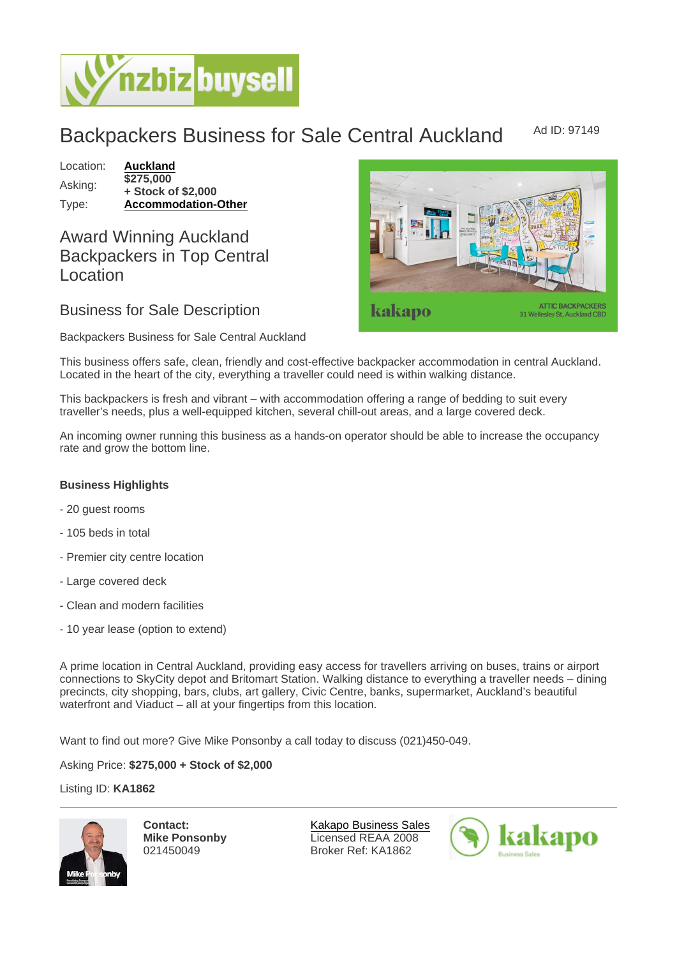## Backpackers Business for Sale Central Auckland Ad ID: 97149

Location: [Auckland](https://www.nzbizbuysell.co.nz/businesses-for-sale/location/Auckland) Asking: \$275,000 + Stock of \$2,000 Type: [Accommodation-Other](https://www.nzbizbuysell.co.nz/businesses-for-sale/Accommodation-Other/New-Zealand)

Award Winning Auckland Backpackers in Top Central Location

Business for Sale Description

Backpackers Business for Sale Central Auckland

This business offers safe, clean, friendly and cost-effective backpacker accommodation in central Auckland. Located in the heart of the city, everything a traveller could need is within walking distance.

This backpackers is fresh and vibrant – with accommodation offering a range of bedding to suit every traveller's needs, plus a well-equipped kitchen, several chill-out areas, and a large covered deck.

An incoming owner running this business as a hands-on operator should be able to increase the occupancy rate and grow the bottom line.

Business Highlights

- 20 guest rooms
- 105 beds in total
- Premier city centre location
- Large covered deck
- Clean and modern facilities
- 10 year lease (option to extend)

A prime location in Central Auckland, providing easy access for travellers arriving on buses, trains or airport connections to SkyCity depot and Britomart Station. Walking distance to everything a traveller needs – dining precincts, city shopping, bars, clubs, art gallery, Civic Centre, banks, supermarket, Auckland's beautiful waterfront and Viaduct – all at your fingertips from this location.

Want to find out more? Give Mike Ponsonby a call today to discuss (021)450-049.

Asking Price: \$275,000 + Stock of \$2,000

Listing ID: KA1862

Contact: Mike Ponsonby 021450049

[Kakapo Business Sales](https://www.nzbizbuysell.co.nz/business-brokers/216/kakapo-business-sales/brokerage-listings) Licensed REAA 2008 Broker Ref: KA1862